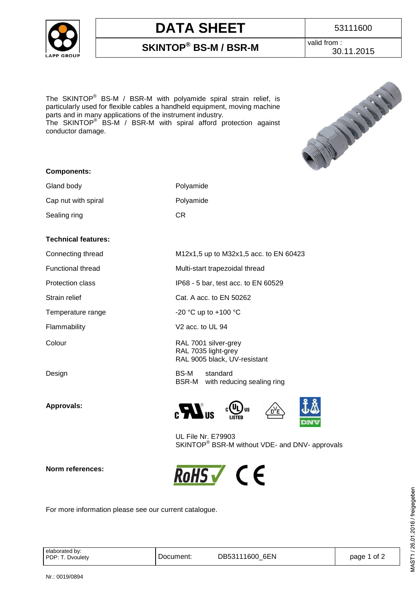

## **DATA SHEET** 1 53111600

**SKINTOP® BS-M / BSR-M**

valid from : 30.11.2015

The SKINTOP<sup>®</sup> BS-M / BSR-M with polyamide spiral strain relief, is particularly used for flexible cables a handheld equipment, moving machine parts and in many applications of the instrument industry. The SKINTOP® BS-M / BSR-M with spiral afford protection against

conductor damage.



#### **Components:**

| Gland body          | Polyamide |
|---------------------|-----------|
| Cap nut with spiral | Polyamide |
| Sealing ring        | CR        |

#### **Technical features:**

**Approvals:**

**Norm references:** 

Connecting thread M12x1,5 up to M32x1,5 acc. to EN 60423

Functional thread Multi-start trapezoidal thread

Protection class IP68 - 5 bar, test acc. to EN 60529

Strain relief Cat. A acc. to EN 50262

Temperature range  $-20$  °C up to +100 °C

Flammability V2 acc. to UL 94

Colour RAL 7001 silver-grey RAL 7035 light-grey RAL 9005 black, UV-resistant

Design BS-M standard BSR-M with reducing sealing ring





UL File Nr. E79903 SKINTOP<sup>®</sup> BSR-M without VDE- and DNV- approvals



For more information please see our current catalogue.

elaborated by:<br>PDP: T. Dvoulety